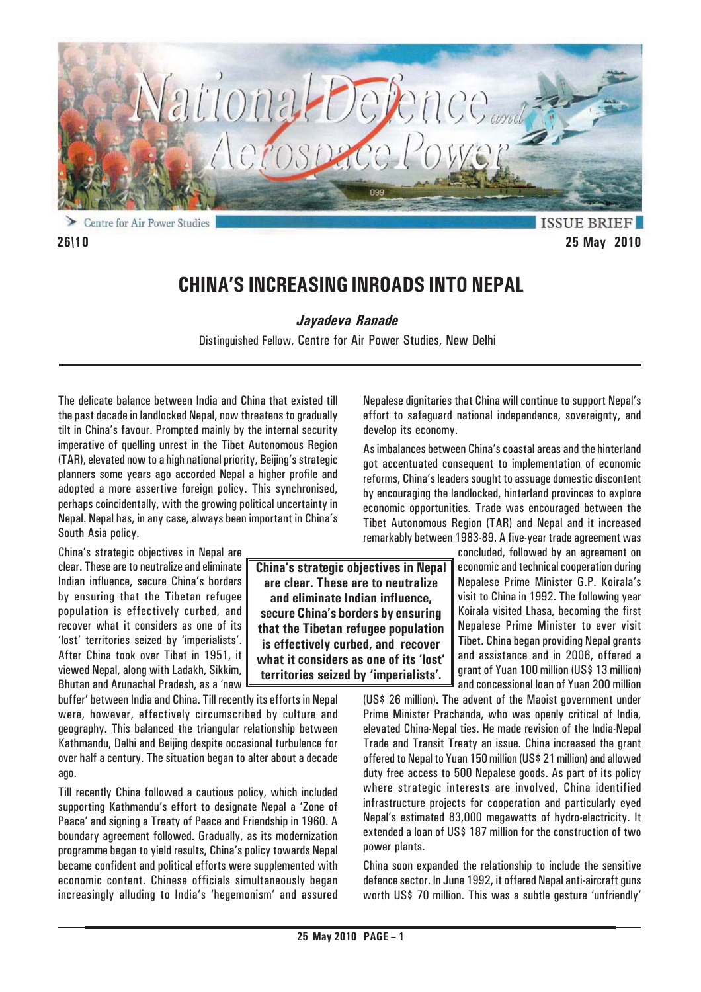

**ISSUE BRIE 26\10 25 May 2010**

# **CHINA'S INCREASING INROADS INTO NEPAL**

*Jayadeva Ranade*

Distinguished Fellow, Centre for Air Power Studies, New Delhi

The delicate balance between India and China that existed till the past decade in landlocked Nepal, now threatens to gradually tilt in China's favour. Prompted mainly by the internal security imperative of quelling unrest in the Tibet Autonomous Region (TAR), elevated now to a high national priority, Beijing's strategic planners some years ago accorded Nepal a higher profile and adopted a more assertive foreign policy. This synchronised, perhaps coincidentally, with the growing political uncertainty in Nepal. Nepal has, in any case, always been important in China's South Asia policy.

China's strategic objectives in Nepal are clear. These are to neutralize and eliminate Indian influence, secure China's borders by ensuring that the Tibetan refugee population is effectively curbed, and recover what it considers as one of its 'lost' territories seized by 'imperialists'. After China took over Tibet in 1951, it viewed Nepal, along with Ladakh, Sikkim, Bhutan and Arunachal Pradesh, as a 'new

buffer' between India and China. Till recently its efforts in Nepal were, however, effectively circumscribed by culture and geography. This balanced the triangular relationship between Kathmandu, Delhi and Beijing despite occasional turbulence for over half a century. The situation began to alter about a decade ago.

Till recently China followed a cautious policy, which included supporting Kathmandu's effort to designate Nepal a 'Zone of Peace' and signing a Treaty of Peace and Friendship in 1960. A boundary agreement followed. Gradually, as its modernization programme began to yield results, China's policy towards Nepal became confident and political efforts were supplemented with economic content. Chinese officials simultaneously began increasingly alluding to India's 'hegemonism' and assured

**China's strategic objectives in Nepal are clear. These are to neutralize and eliminate Indian influence, secure China's borders by ensuring that the Tibetan refugee population is effectively curbed, and recover what it considers as one of its 'lost' territories seized by 'imperialists'.**

effort to safeguard national independence, sovereignty, and develop its economy. As imbalances between China's coastal areas and the hinterland

Nepalese dignitaries that China will continue to support Nepal's

got accentuated consequent to implementation of economic reforms, China's leaders sought to assuage domestic discontent by encouraging the landlocked, hinterland provinces to explore economic opportunities. Trade was encouraged between the Tibet Autonomous Region (TAR) and Nepal and it increased remarkably between 1983-89. A five-year trade agreement was

> concluded, followed by an agreement on economic and technical cooperation during Nepalese Prime Minister G.P. Koirala's visit to China in 1992. The following year Koirala visited Lhasa, becoming the first Nepalese Prime Minister to ever visit Tibet. China began providing Nepal grants and assistance and in 2006, offered a grant of Yuan 100 million (US\$ 13 million) and concessional loan of Yuan 200 million

(US\$ 26 million). The advent of the Maoist government under Prime Minister Prachanda, who was openly critical of India, elevated China-Nepal ties. He made revision of the India-Nepal Trade and Transit Treaty an issue. China increased the grant offered to Nepal to Yuan 150 million (US\$ 21 million) and allowed duty free access to 500 Nepalese goods. As part of its policy where strategic interests are involved, China identified infrastructure projects for cooperation and particularly eyed Nepal's estimated 83,000 megawatts of hydro-electricity. It extended a loan of US\$ 187 million for the construction of two power plants.

China soon expanded the relationship to include the sensitive defence sector. In June 1992, it offered Nepal anti-aircraft guns worth US\$ 70 million. This was a subtle gesture 'unfriendly'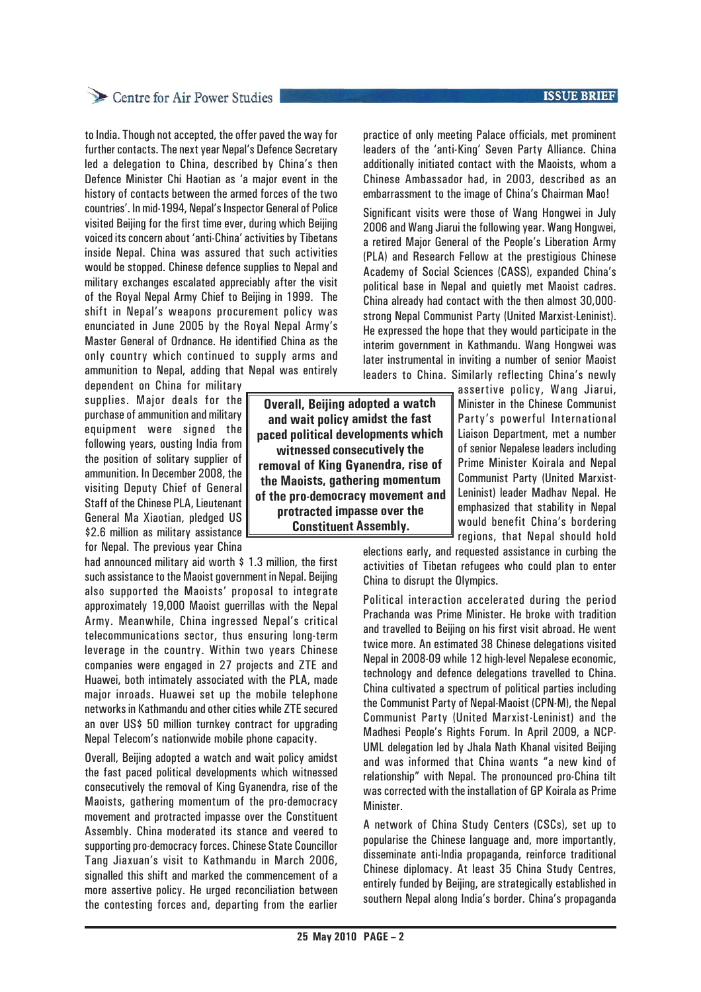### Centre for Air Power Studies

to India. Though not accepted, the offer paved the way for further contacts. The next year Nepal's Defence Secretary led a delegation to China, described by China's then Defence Minister Chi Haotian as 'a major event in the history of contacts between the armed forces of the two countries'. In mid-1994, Nepal's Inspector General of Police visited Beijing for the first time ever, during which Beijing voiced its concern about 'anti-China' activities by Tibetans inside Nepal. China was assured that such activities would be stopped. Chinese defence supplies to Nepal and military exchanges escalated appreciably after the visit of the Royal Nepal Army Chief to Beijing in 1999. The shift in Nepal's weapons procurement policy was enunciated in June 2005 by the Royal Nepal Army's Master General of Ordnance. He identified China as the only country which continued to supply arms and ammunition to Nepal, adding that Nepal was entirely

dependent on China for military supplies. Major deals for the purchase of ammunition and military equipment were signed the following years, ousting India from the position of solitary supplier of ammunition. In December 2008, the visiting Deputy Chief of General Staff of the Chinese PLA, Lieutenant General Ma Xiaotian, pledged US \$2.6 million as military assistance for Nepal. The previous year China

had announced military aid worth \$1.3 million, the first such assistance to the Maoist government in Nepal. Beijing also supported the Maoists' proposal to integrate approximately 19,000 Maoist guerrillas with the Nepal Army. Meanwhile, China ingressed Nepal's critical telecommunications sector, thus ensuring long-term leverage in the country. Within two years Chinese companies were engaged in 27 projects and ZTE and Huawei, both intimately associated with the PLA, made major inroads. Huawei set up the mobile telephone networks in Kathmandu and other cities while ZTE secured an over US\$ 50 million turnkey contract for upgrading Nepal Telecom's nationwide mobile phone capacity.

Overall, Beijing adopted a watch and wait policy amidst the fast paced political developments which witnessed consecutively the removal of King Gyanendra, rise of the Maoists, gathering momentum of the pro-democracy movement and protracted impasse over the Constituent Assembly. China moderated its stance and veered to supporting pro-democracy forces. Chinese State Councillor Tang Jiaxuan's visit to Kathmandu in March 2006, signalled this shift and marked the commencement of a more assertive policy. He urged reconciliation between the contesting forces and, departing from the earlier

**Overall, Beijing adopted a watch and wait policy amidst the fast paced political developments which witnessed consecutively the removal of King Gyanendra, rise of the Maoists, gathering momentum of the pro-democracy movement and protracted impasse over the Constituent Assembly.**

practice of only meeting Palace officials, met prominent leaders of the 'anti-King' Seven Party Alliance. China additionally initiated contact with the Maoists, whom a Chinese Ambassador had, in 2003, described as an embarrassment to the image of China's Chairman Mao!

Significant visits were those of Wang Hongwei in July 2006 and Wang Jiarui the following year. Wang Hongwei, a retired Major General of the People's Liberation Army (PLA) and Research Fellow at the prestigious Chinese Academy of Social Sciences (CASS), expanded China's political base in Nepal and quietly met Maoist cadres. China already had contact with the then almost 30,000 strong Nepal Communist Party (United Marxist-Leninist). He expressed the hope that they would participate in the interim government in Kathmandu. Wang Hongwei was later instrumental in inviting a number of senior Maoist leaders to China. Similarly reflecting China's newly

> assertive policy, Wang Jiarui, Minister in the Chinese Communist Party's powerful International Liaison Department, met a number of senior Nepalese leaders including Prime Minister Koirala and Nepal Communist Party (United Marxist-Leninist) leader Madhav Nepal. He emphasized that stability in Nepal would benefit China's bordering regions, that Nepal should hold

elections early, and requested assistance in curbing the activities of Tibetan refugees who could plan to enter China to disrupt the Olympics.

Political interaction accelerated during the period Prachanda was Prime Minister. He broke with tradition and travelled to Beijing on his first visit abroad. He went twice more. An estimated 38 Chinese delegations visited Nepal in 2008-09 while 12 high-level Nepalese economic, technology and defence delegations travelled to China. China cultivated a spectrum of political parties including the Communist Party of Nepal-Maoist (CPN-M), the Nepal Communist Party (United Marxist-Leninist) and the Madhesi People's Rights Forum. In April 2009, a NCP-UML delegation led by Jhala Nath Khanal visited Beijing and was informed that China wants "a new kind of relationship" with Nepal. The pronounced pro-China tilt was corrected with the installation of GP Koirala as Prime Minister.

A network of China Study Centers (CSCs), set up to popularise the Chinese language and, more importantly, disseminate anti-India propaganda, reinforce traditional Chinese diplomacy. At least 35 China Study Centres, entirely funded by Beijing, are strategically established in southern Nepal along India's border. China's propaganda

### **ISSUE BRIEF**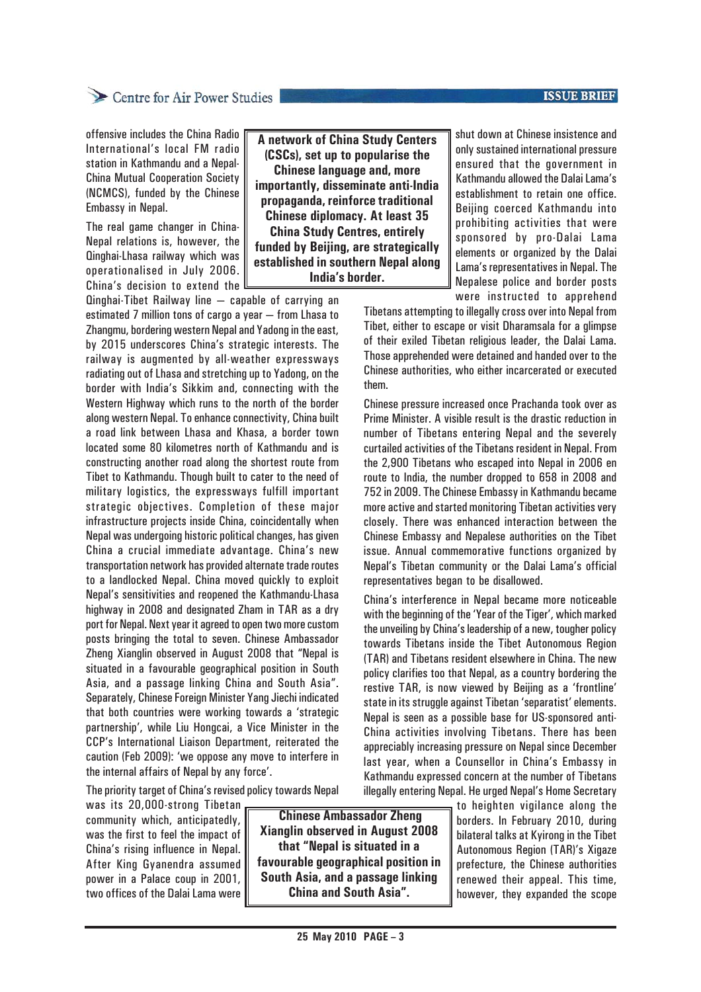# Centre for Air Power Studies

**ISSUE BRIEF** 

offensive includes the China Radio International's local FM radio station in Kathmandu and a Nepal-China Mutual Cooperation Society (NCMCS), funded by the Chinese Embassy in Nepal.

The real game changer in China-Nepal relations is, however, the Qinghai-Lhasa railway which was operationalised in July 2006. China's decision to extend the

Qinghai-Tibet Railway line — capable of carrying an estimated 7 million tons of cargo a year — from Lhasa to Zhangmu, bordering western Nepal and Yadong in the east, by 2015 underscores China's strategic interests. The railway is augmented by all-weather expressways radiating out of Lhasa and stretching up to Yadong, on the border with India's Sikkim and, connecting with the Western Highway which runs to the north of the border along western Nepal. To enhance connectivity, China built a road link between Lhasa and Khasa, a border town located some 80 kilometres north of Kathmandu and is constructing another road along the shortest route from Tibet to Kathmandu. Though built to cater to the need of military logistics, the expressways fulfill important strategic objectives. Completion of these major infrastructure projects inside China, coincidentally when Nepal was undergoing historic political changes, has given China a crucial immediate advantage. China's new transportation network has provided alternate trade routes to a landlocked Nepal. China moved quickly to exploit Nepal's sensitivities and reopened the Kathmandu-Lhasa highway in 2008 and designated Zham in TAR as a dry port for Nepal. Next year it agreed to open two more custom posts bringing the total to seven. Chinese Ambassador Zheng Xianglin observed in August 2008 that "Nepal is situated in a favourable geographical position in South Asia, and a passage linking China and South Asia". Separately, Chinese Foreign Minister Yang Jiechi indicated that both countries were working towards a 'strategic partnership', while Liu Hongcai, a Vice Minister in the CCP's International Liaison Department, reiterated the caution (Feb 2009): 'we oppose any move to interfere in the internal affairs of Nepal by any force'.

**A network of China Study Centers (CSCs), set up to popularise the Chinese language and, more importantly, disseminate anti-India propaganda, reinforce traditional Chinese diplomacy. At least 35 China Study Centres, entirely funded by Beijing, are strategically established in southern Nepal along India's border.**

shut down at Chinese insistence and only sustained international pressure ensured that the government in Kathmandu allowed the Dalai Lama's establishment to retain one office. Beijing coerced Kathmandu into prohibiting activities that were sponsored by pro-Dalai Lama elements or organized by the Dalai Lama's representatives in Nepal. The Nepalese police and border posts were instructed to apprehend

Tibetans attempting to illegally cross over into Nepal from Tibet, either to escape or visit Dharamsala for a glimpse of their exiled Tibetan religious leader, the Dalai Lama. Those apprehended were detained and handed over to the Chinese authorities, who either incarcerated or executed them.

Chinese pressure increased once Prachanda took over as Prime Minister. A visible result is the drastic reduction in number of Tibetans entering Nepal and the severely curtailed activities of the Tibetans resident in Nepal. From the 2,900 Tibetans who escaped into Nepal in 2006 en route to India, the number dropped to 658 in 2008 and 752 in 2009. The Chinese Embassy in Kathmandu became more active and started monitoring Tibetan activities very closely. There was enhanced interaction between the Chinese Embassy and Nepalese authorities on the Tibet issue. Annual commemorative functions organized by Nepal's Tibetan community or the Dalai Lama's official representatives began to be disallowed.

China's interference in Nepal became more noticeable with the beginning of the 'Year of the Tiger', which marked the unveiling by China's leadership of a new, tougher policy towards Tibetans inside the Tibet Autonomous Region (TAR) and Tibetans resident elsewhere in China. The new policy clarifies too that Nepal, as a country bordering the restive TAR, is now viewed by Beijing as a 'frontline' state in its struggle against Tibetan 'separatist' elements. Nepal is seen as a possible base for US-sponsored anti-China activities involving Tibetans. There has been appreciably increasing pressure on Nepal since December last year, when a Counsellor in China's Embassy in Kathmandu expressed concern at the number of Tibetans illegally entering Nepal. He urged Nepal's Home Secretary

The priority target of China's revised policy towards Nepal

was its 20,000-strong Tibetan community which, anticipatedly, was the first to feel the impact of China's rising influence in Nepal. After King Gyanendra assumed power in a Palace coup in 2001, two offices of the Dalai Lama were

 **Chinese Ambassador Zheng Xianglin observed in August 2008 that "Nepal is situated in a favourable geographical position in South Asia, and a passage linking China and South Asia".**

to heighten vigilance along the borders. In February 2010, during bilateral talks at Kyirong in the Tibet Autonomous Region (TAR)'s Xigaze prefecture, the Chinese authorities renewed their appeal. This time, however, they expanded the scope